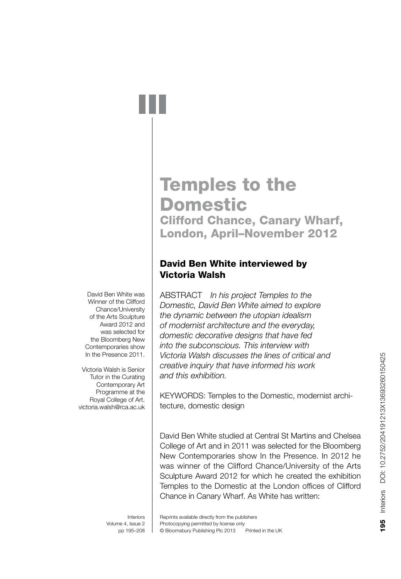## **Temples to the Domestic Clifford Chance, Canary Wharf, London, April-November 2012**

## David Ben White interviewed by **Victoria Walsh**

ABSTRACT In his project Temples to the Domestic, David Ben White aimed to explore the dynamic between the utopian idealism of modernist architecture and the everyday, domestic decorative designs that have fed into the subconscious. This interview with Victoria Walsh discusses the lines of critical and creative inquiry that have informed his work and this exhibition.

KEYWORDS: Temples to the Domestic, modernist architecture, domestic design

David Ben White studied at Central St Martins and Chelsea College of Art and in 2011 was selected for the Bloomberg New Contemporaries show In the Presence. In 2012 he was winner of the Clifford Chance/University of the Arts Sculpture Award 2012 for which he created the exhibition Temples to the Domestic at the London offices of Clifford Chance in Canary Wharf. As White has written:

David Ben White was Winner of the Clifford Chance/University of the Arts Sculpture Award 2012 and was selected for the Bloomberg New Contemporaries show In the Presence 2011.

Victoria Walsh is Senior Tutor in the Curating Contemporary Art Programme at the Royal College of Art. victoria.walsh@rca.ac.uk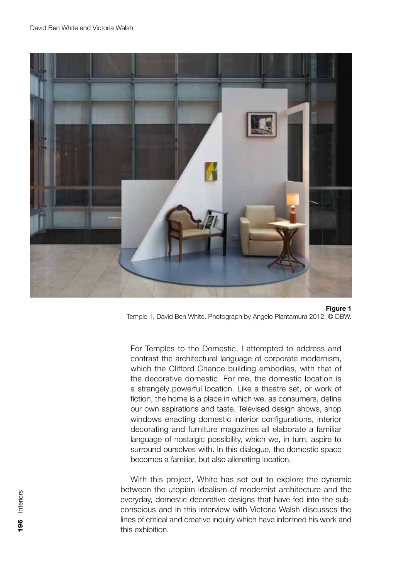

Figure 1 Temple 1, David Ben White. Photograph by Angelo Plantamura 2012. © DBW.

For Temples to the Domestic, I attempted to address and contrast the architectural language of corporate modernism, which the Clifford Chance building embodies, with that of the decorative domestic. For me, the domestic location is a strangely powerful location. Like a theatre set, or work of fiction, the home is a place in which we, as consumers, define our own aspirations and taste. Televised design shows, shop windows enacting domestic interior configurations, interior decorating and furniture magazines all elaborate a familiar language of nostalgic possibility, which we, in turn, aspire to surround ourselves with. In this dialogue, the domestic space becomes a familiar, but also alienating location.

With this project, White has set out to explore the dynamic between the utopian idealism of modernist architecture and the everyday, domestic decorative designs that have fed into the subconscious and in this interview with Victoria Walsh discusses the lines of critical and creative inquiry which have informed his work and this exhibition.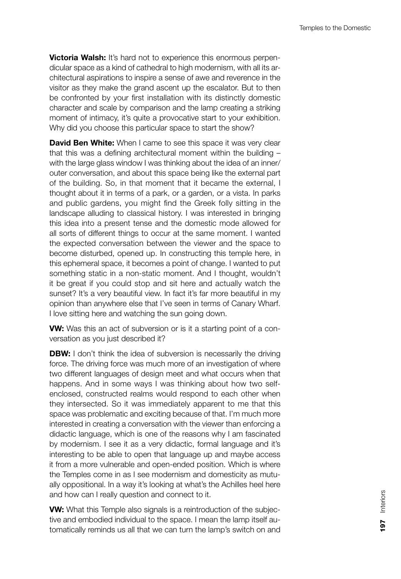**Victoria Walsh:** It's hard not to experience this enormous perpendicular space as a kind of cathedral to high modernism, with all its architectural aspirations to inspire a sense of awe and reverence in the visitor as they make the grand ascent up the escalator. But to then be confronted by your first installation with its distinctly domestic character and scale by comparison and the lamp creating a striking moment of intimacy, it's quite a provocative start to your exhibition. Why did you choose this particular space to start the show?

David Ben White: When I came to see this space it was very clear that this was a defining architectural moment within the building with the large glass window I was thinking about the idea of an inner/ outer conversation, and about this space being like the external part of the building. So, in that moment that it became the external, I thought about it in terms of a park, or a garden, or a vista. In parks and public gardens, you might find the Greek folly sitting in the landscape alluding to classical history. I was interested in bringing this idea into a present tense and the domestic mode allowed for all sorts of different things to occur at the same moment. I wanted the expected conversation between the viewer and the space to become disturbed, opened up. In constructing this temple here, in this ephemeral space, it becomes a point of change. I wanted to put something static in a non-static moment. And I thought, wouldn't it be great if you could stop and sit here and actually watch the sunset? It's a very beautiful view. In fact it's far more beautiful in my opinion than anywhere else that I've seen in terms of Canary Wharf. I love sitting here and watching the sun going down.

**VW:** Was this an act of subversion or is it a starting point of a conversation as you just described it?

**DBW:** I don't think the idea of subversion is necessarily the driving force. The driving force was much more of an investigation of where two different languages of design meet and what occurs when that happens. And in some ways I was thinking about how two selfenclosed, constructed realms would respond to each other when they intersected. So it was immediately apparent to me that this space was problematic and exciting because of that. I'm much more interested in creating a conversation with the viewer than enforcing a didactic language, which is one of the reasons why I am fascinated by modernism. I see it as a very didactic, formal language and it's interesting to be able to open that language up and maybe access it from a more vulnerable and open-ended position. Which is where the Temples come in as I see modernism and domesticity as mutually oppositional. In a way it's looking at what's the Achilles heel here and how can I really question and connect to it.

**VW:** What this Temple also signals is a reintroduction of the subjective and embodied individual to the space. I mean the lamp itself automatically reminds us all that we can turn the lamp's switch on and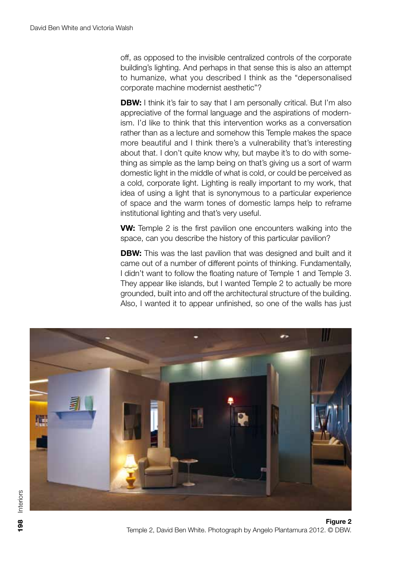off, as opposed to the invisible centralized controls of the corporate building's lighting. And perhaps in that sense this is also an attempt to humanize, what you described I think as the "depersonalised corporate machine modernist aesthetic"?

**DBW:** I think it's fair to say that I am personally critical. But I'm also appreciative of the formal language and the aspirations of modernism. I'd like to think that this intervention works as a conversation rather than as a lecture and somehow this Temple makes the space more beautiful and I think there's a vulnerability that's interesting about that. I don't quite know why, but maybe it's to do with something as simple as the lamp being on that's giving us a sort of warm domestic light in the middle of what is cold, or could be perceived as a cold, corporate light. Lighting is really important to my work, that idea of using a light that is synonymous to a particular experience of space and the warm tones of domestic lamps help to reframe institutional lighting and that's very useful.

**VW:** Temple 2 is the first pavilion one encounters walking into the space, can you describe the history of this particular pavilion?

**DBW:** This was the last pavilion that was designed and built and it came out of a number of different points of thinking. Fundamentally, I didn't want to follow the floating nature of Temple 1 and Temple 3. They appear like islands, but I wanted Temple 2 to actually be more grounded, built into and off the architectural structure of the building. Also, I wanted it to appear unfinished, so one of the walls has just

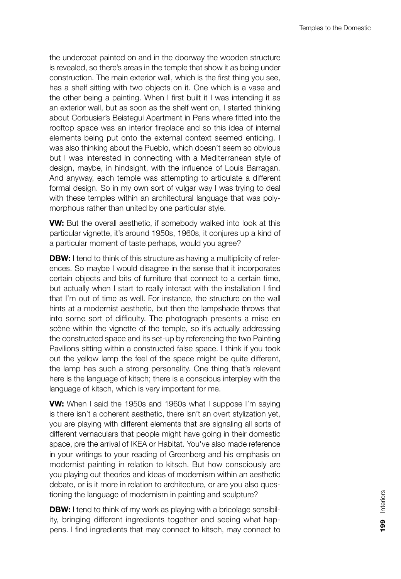the undercoat painted on and in the doorway the wooden structure is revealed, so there's areas in the temple that show it as being under construction. The main exterior wall, which is the first thing you see, has a shelf sitting with two objects on it. One which is a vase and the other being a painting. When I first built it I was intending it as an exterior wall, but as soon as the shelf went on, I started thinking about Corbusier's Beistegui Apartment in Paris where fitted into the rooftop space was an interior fireplace and so this idea of internal elements being put onto the external context seemed enticing. I was also thinking about the Pueblo, which doesn't seem so obvious but I was interested in connecting with a Mediterranean style of design, maybe, in hindsight, with the influence of Louis Barragan. And anyway, each temple was attempting to articulate a different formal design. So in my own sort of vulgar way I was trying to deal with these temples within an architectural language that was polymorphous rather than united by one particular style.

VW: But the overall aesthetic, if somebody walked into look at this particular vignette, it's around 1950s, 1960s, it conjures up a kind of a particular moment of taste perhaps, would you agree?

**DBW:** I tend to think of this structure as having a multiplicity of references. So maybe I would disagree in the sense that it incorporates certain objects and bits of furniture that connect to a certain time, but actually when I start to really interact with the installation I find that I'm out of time as well. For instance, the structure on the wall hints at a modernist aesthetic, but then the lampshade throws that into some sort of difficulty. The photograph presents a mise en scène within the vignette of the temple, so it's actually addressing the constructed space and its set-up by referencing the two Painting Pavilions sitting within a constructed false space. I think if you took out the yellow lamp the feel of the space might be quite different, the lamp has such a strong personality. One thing that's relevant here is the language of kitsch; there is a conscious interplay with the language of kitsch, which is very important for me.

VW: When I said the 1950s and 1960s what I suppose I'm saying is there isn't a coherent aesthetic, there isn't an overt stylization yet, you are playing with different elements that are signaling all sorts of different vernaculars that people might have going in their domestic space, pre the arrival of IKEA or Habitat. You've also made reference in your writings to your reading of Greenberg and his emphasis on modernist painting in relation to kitsch. But how consciously are you playing out theories and ideas of modernism within an aesthetic debate, or is it more in relation to architecture, or are you also questioning the language of modernism in painting and sculpture?

**DBW:** I tend to think of my work as playing with a bricolage sensibility, bringing different ingredients together and seeing what happens. I find ingredients that may connect to kitsch, may connect to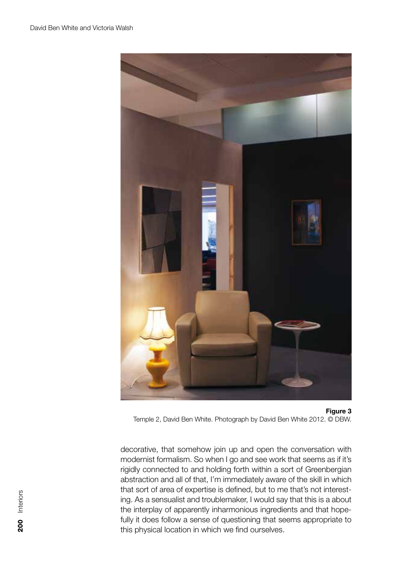

Figure 3 Temple 2, David Ben White. Photograph by David Ben White 2012. © DBW.

decorative, that somehow join up and open the conversation with modernist formalism. So when I go and see work that seems as if it's rigidly connected to and holding forth within a sort of Greenbergian abstraction and all of that, I'm immediately aware of the skill in which that sort of area of expertise is defined, but to me that's not interesting. As a sensualist and troublemaker, I would say that this is a about the interplay of apparently inharmonious ingredients and that hopefully it does follow a sense of questioning that seems appropriate to this physical location in which we find ourselves.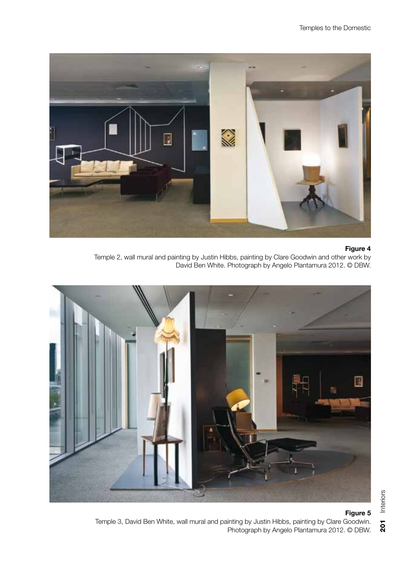

## Figure 4

Temple 2, wall mural and painting by Justin Hibbs, painting by Clare Goodwin and other work by David Ben White. Photograph by Angelo Plantamura 2012. © DBW.



## Figure 5

Temple 3, David Ben White, wall mural and painting by Justin Hibbs, painting by Clare Goodwin. Photograph by Angelo Plantamura 2012. © DBW.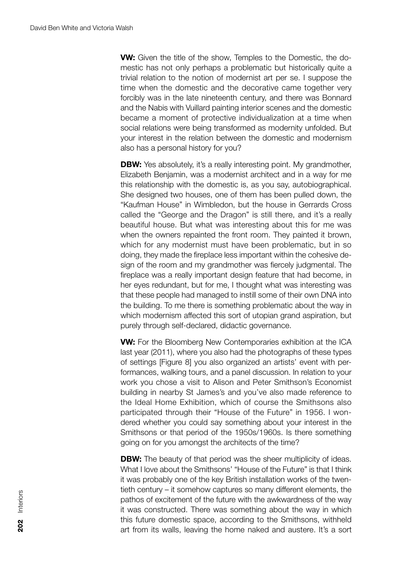VW: Given the title of the show, Temples to the Domestic, the domestic has not only perhaps a problematic but historically quite a trivial relation to the notion of modernist art per se. I suppose the time when the domestic and the decorative came together very forcibly was in the late nineteenth century, and there was Bonnard and the Nabis with Vuillard painting interior scenes and the domestic became a moment of protective individualization at a time when social relations were being transformed as modernity unfolded. But your interest in the relation between the domestic and modernism also has a personal history for you?

**DBW:** Yes absolutely, it's a really interesting point. My grandmother, Elizabeth Benjamin, was a modernist architect and in a way for me this relationship with the domestic is, as you say, autobiographical. She designed two houses, one of them has been pulled down, the "Kaufman House" in Wimbledon, but the house in Gerrards Cross called the "George and the Dragon" is still there, and it's a really beautiful house. But what was interesting about this for me was when the owners repainted the front room. They painted it brown, which for any modernist must have been problematic, but in so doing, they made the fireplace less important within the cohesive design of the room and my grandmother was fiercely judgmental. The fireplace was a really important design feature that had become, in her eyes redundant, but for me, I thought what was interesting was that these people had managed to instill some of their own DNA into the building. To me there is something problematic about the way in which modernism affected this sort of utopian grand aspiration, but purely through self-declared, didactic governance.

VW: For the Bloomberg New Contemporaries exhibition at the ICA last year (2011), where you also had the photographs of these types of settings [Figure 8] you also organized an artists' event with performances, walking tours, and a panel discussion. In relation to your work you chose a visit to Alison and Peter Smithson's Economist building in nearby St James's and you've also made reference to the Ideal Home Exhibition, which of course the Smithsons also participated through their "House of the Future" in 1956. I wondered whether you could say something about your interest in the Smithsons or that period of the 1950s/1960s. Is there something going on for you amongst the architects of the time?

**DBW:** The beauty of that period was the sheer multiplicity of ideas. What I love about the Smithsons' "House of the Future" is that I think it was probably one of the key British installation works of the twentieth century – it somehow captures so many different elements, the pathos of excitement of the future with the awkwardness of the way it was constructed. There was something about the way in which this future domestic space, according to the Smithsons, withheld art from its walls, leaving the home naked and austere. It's a sort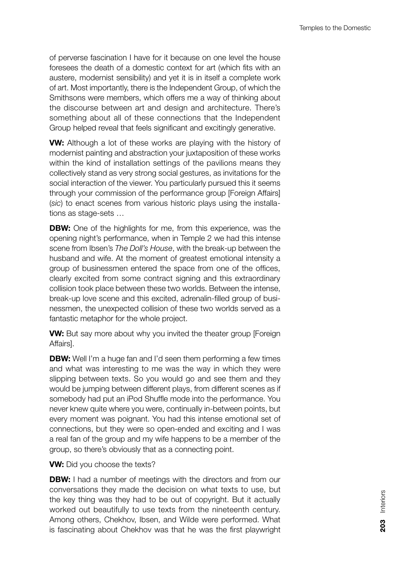of perverse fascination I have for it because on one level the house foresees the death of a domestic context for art (which fits with an austere, modernist sensibility) and yet it is in itself a complete work of art. Most importantly, there is the Independent Group, of which the Smithsons were members, which offers me a way of thinking about the discourse between art and design and architecture. There's something about all of these connections that the Independent Group helped reveal that feels significant and excitingly generative.

VW: Although a lot of these works are playing with the history of modernist painting and abstraction your juxtaposition of these works within the kind of installation settings of the pavilions means they collectively stand as very strong social gestures, as invitations for the social interaction of the viewer. You particularly pursued this it seems through your commission of the performance group [Foreign Affairs] (sic) to enact scenes from various historic plays using the installations as stage-sets ...

**DBW:** One of the highlights for me, from this experience, was the opening night's performance, when in Temple 2 we had this intense scene from Ibsen's The Doll's House, with the break-up between the husband and wife. At the moment of greatest emotional intensity a group of businessmen entered the space from one of the offices, clearly excited from some contract signing and this extraordinary collision took place between these two worlds. Between the intense, break-up love scene and this excited, adrenalin-filled group of businessmen, the unexpected collision of these two worlds served as a fantastic metaphor for the whole project.

VW: But say more about why you invited the theater group [Foreign] Affairsl.

**DBW:** Well I'm a huge fan and I'd seen them performing a few times and what was interesting to me was the way in which they were slipping between texts. So you would go and see them and they would be jumping between different plays, from different scenes as if somebody had put an iPod Shuffle mode into the performance. You never knew quite where you were, continually in-between points, but every moment was poignant. You had this intense emotional set of connections, but they were so open-ended and exciting and I was a real fan of the group and my wife happens to be a member of the group, so there's obviously that as a connecting point.

**VW:** Did you choose the texts?

**DBW:** I had a number of meetings with the directors and from our conversations they made the decision on what texts to use, but the key thing was they had to be out of copyright. But it actually worked out beautifully to use texts from the nineteenth century. Among others, Chekhov, Ibsen, and Wilde were performed. What is fascinating about Chekhov was that he was the first playwright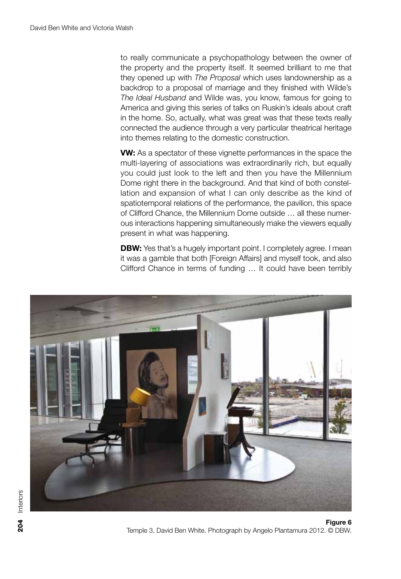to really communicate a psychopathology between the owner of the property and the property itself. It seemed brilliant to me that they opened up with The Proposal which uses landownership as a backdrop to a proposal of marriage and they finished with Wilde's The Ideal Husband and Wilde was, you know, famous for going to America and giving this series of talks on Ruskin's ideals about craft in the home. So, actually, what was great was that these texts really connected the audience through a very particular theatrical heritage into themes relating to the domestic construction.

VW: As a spectator of these vignette performances in the space the multi-layering of associations was extraordinarily rich, but equally you could just look to the left and then you have the Millennium Dome right there in the background. And that kind of both constellation and expansion of what I can only describe as the kind of spatiotemporal relations of the performance, the pavilion, this space of Clifford Chance, the Millennium Dome outside ... all these numerous interactions happening simultaneously make the viewers equally present in what was happening.

**DBW:** Yes that's a hugely important point. I completely agree. I mean it was a gamble that both [Foreign Affairs] and myself took, and also Clifford Chance in terms of funding ... It could have been terribly



Figure 6 Temple 3, David Ben White. Photograph by Angelo Plantamura 2012. © DBW.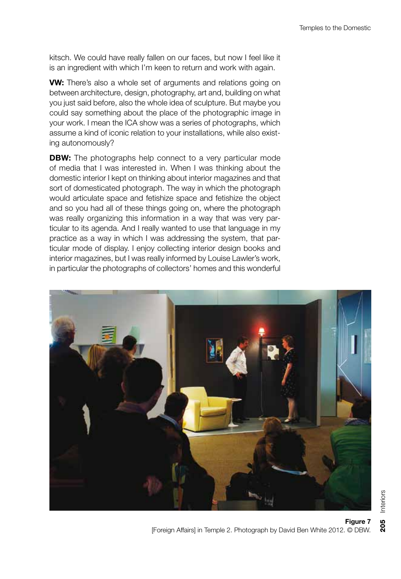kitsch. We could have really fallen on our faces, but now I feel like it is an ingredient with which I'm keen to return and work with again.

**VW:** There's also a whole set of arguments and relations going on between architecture, design, photography, art and, building on what you just said before, also the whole idea of sculpture. But maybe you could say something about the place of the photographic image in your work. I mean the ICA show was a series of photographs, which assume a kind of iconic relation to your installations, while also existing autonomously?

**DBW:** The photographs help connect to a very particular mode of media that I was interested in. When I was thinking about the domestic interior I kept on thinking about interior magazines and that sort of domesticated photograph. The way in which the photograph would articulate space and fetishize space and fetishize the object and so you had all of these things going on, where the photograph was really organizing this information in a way that was very particular to its agenda. And I really wanted to use that language in my practice as a way in which I was addressing the system, that particular mode of display. I enjoy collecting interior design books and interior magazines, but I was really informed by Louise Lawler's work, in particular the photographs of collectors' homes and this wonderful

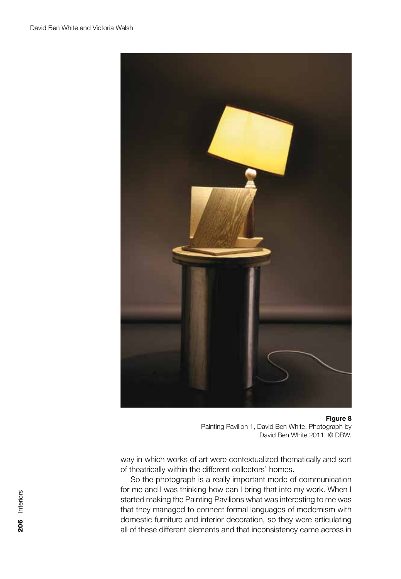

Figure 8 Painting Pavilion 1, David Ben White. Photograph by David Ben White 2011. © DBW.

way in which works of art were contextualized thematically and sort of theatrically within the different collectors' homes.

So the photograph is a really important mode of communication for me and I was thinking how can I bring that into my work. When I started making the Painting Pavilions what was interesting to me was that they managed to connect formal languages of modernism with domestic furniture and interior decoration, so they were articulating all of these different elements and that inconsistency came across in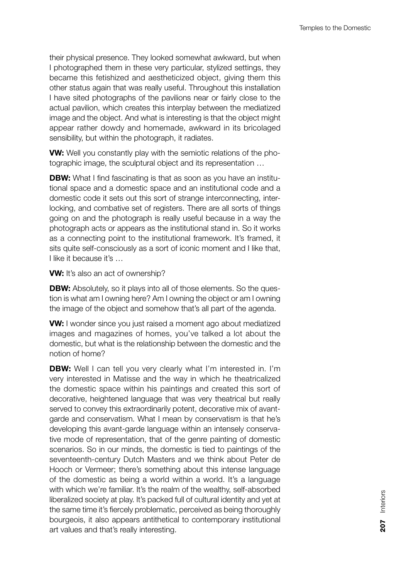their physical presence. They looked somewhat awkward, but when I photographed them in these very particular, stylized settings, they became this fetishized and aestheticized object, giving them this other status again that was really useful. Throughout this installation I have sited photographs of the pavilions near or fairly close to the actual pavilion, which creates this interplay between the mediatized image and the object. And what is interesting is that the object might appear rather dowdy and homemade, awkward in its bricolaged sensibility, but within the photograph, it radiates.

VW: Well you constantly play with the semiotic relations of the photographic image, the sculptural object and its representation ...

**DBW:** What I find fascinating is that as soon as you have an institutional space and a domestic space and an institutional code and a domestic code it sets out this sort of strange interconnecting, interlocking, and combative set of registers. There are all sorts of things going on and the photograph is really useful because in a way the photograph acts or appears as the institutional stand in. So it works as a connecting point to the institutional framework. It's framed, it sits quite self-consciously as a sort of iconic moment and I like that, I like it because it's ...

**VW:** It's also an act of ownership?

**DBW:** Absolutely, so it plays into all of those elements. So the question is what am I owning here? Am I owning the object or am I owning the image of the object and somehow that's all part of the agenda.

**VW:** I wonder since you just raised a moment ago about mediatized images and magazines of homes, you've talked a lot about the domestic, but what is the relationship between the domestic and the notion of home?

**DBW:** Well I can tell you very clearly what I'm interested in. I'm very interested in Matisse and the way in which he theatricalized the domestic space within his paintings and created this sort of decorative, heightened language that was very theatrical but really served to convey this extraordinarily potent, decorative mix of avantaarde and conservatism. What I mean by conservatism is that he's developing this avant-garde language within an intensely conservative mode of representation, that of the genre painting of domestic scenarios. So in our minds, the domestic is tied to paintings of the seventeenth-century Dutch Masters and we think about Peter de Hooch or Vermeer; there's something about this intense language of the domestic as being a world within a world. It's a language with which we're familiar. It's the realm of the wealthy, self-absorbed liberalized society at play. It's packed full of cultural identity and yet at the same time it's fiercely problematic, perceived as being thoroughly bourgeois, it also appears antithetical to contemporary institutional art values and that's really interesting.